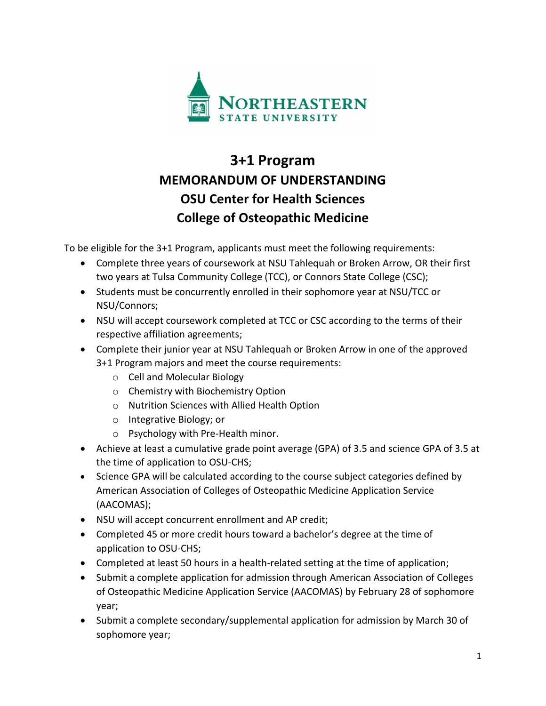

# **3+1 Program MEMORANDUM OF UNDERSTANDING OSU Center for Health Sciences College of Osteopathic Medicine**

To be eligible for the 3+1 Program, applicants must meet the following requirements:

- Complete three years of coursework at NSU Tahlequah or Broken Arrow, OR their first two years at Tulsa Community College (TCC), or Connors State College (CSC);
- Students must be concurrently enrolled in their sophomore year at NSU/TCC or NSU/Connors;
- NSU will accept coursework completed at TCC or CSC according to the terms of their respective affiliation agreements;
- Complete their junior year at NSU Tahlequah or Broken Arrow in one of the approved 3+1 Program majors and meet the course requirements:
	- o Cell and Molecular Biology
	- o Chemistry with Biochemistry Option
	- o Nutrition Sciences with Allied Health Option
	- o Integrative Biology; or
	- o Psychology with Pre-Health minor.
- Achieve at least a cumulative grade point average (GPA) of 3.5 and science GPA of 3.5 at the time of application to OSU-CHS;
- Science GPA will be calculated according to the course subject categories defined by American Association of Colleges of Osteopathic Medicine Application Service (AACOMAS);
- NSU will accept concurrent enrollment and AP credit;
- Completed 45 or more credit hours toward a bachelor's degree at the time of application to OSU-CHS;
- Completed at least 50 hours in a health-related setting at the time of application;
- Submit a complete application for admission through American Association of Colleges of Osteopathic Medicine Application Service (AACOMAS) by February 28 of sophomore year;
- Submit a complete secondary/supplemental application for admission by March 30 of sophomore year;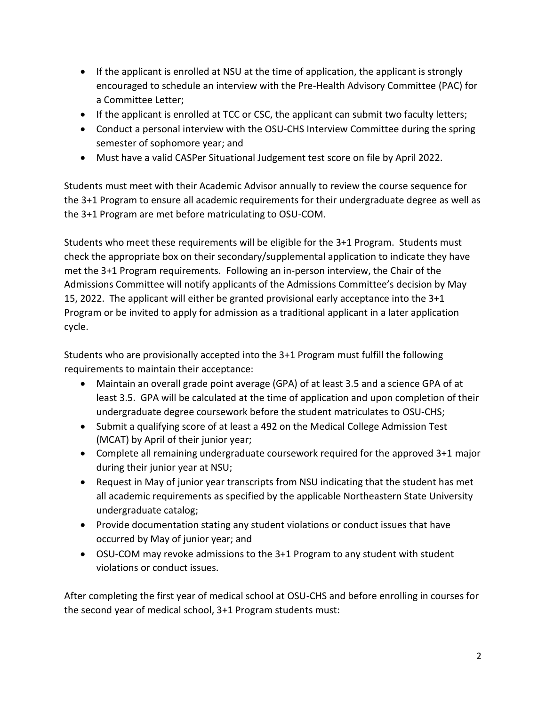- If the applicant is enrolled at NSU at the time of application, the applicant is strongly encouraged to schedule an interview with the Pre-Health Advisory Committee (PAC) for a Committee Letter;
- If the applicant is enrolled at TCC or CSC, the applicant can submit two faculty letters;
- Conduct a personal interview with the OSU-CHS Interview Committee during the spring semester of sophomore year; and
- Must have a valid CASPer Situational Judgement test score on file by April 2022.

Students must meet with their Academic Advisor annually to review the course sequence for the 3+1 Program to ensure all academic requirements for their undergraduate degree as well as the 3+1 Program are met before matriculating to OSU-COM.

Students who meet these requirements will be eligible for the 3+1 Program. Students must check the appropriate box on their secondary/supplemental application to indicate they have met the 3+1 Program requirements. Following an in-person interview, the Chair of the Admissions Committee will notify applicants of the Admissions Committee's decision by May 15, 2022. The applicant will either be granted provisional early acceptance into the 3+1 Program or be invited to apply for admission as a traditional applicant in a later application cycle.

Students who are provisionally accepted into the 3+1 Program must fulfill the following requirements to maintain their acceptance:

- Maintain an overall grade point average (GPA) of at least 3.5 and a science GPA of at least 3.5. GPA will be calculated at the time of application and upon completion of their undergraduate degree coursework before the student matriculates to OSU-CHS;
- Submit a qualifying score of at least a 492 on the Medical College Admission Test (MCAT) by April of their junior year;
- Complete all remaining undergraduate coursework required for the approved 3+1 major during their junior year at NSU;
- Request in May of junior year transcripts from NSU indicating that the student has met all academic requirements as specified by the applicable Northeastern State University undergraduate catalog;
- Provide documentation stating any student violations or conduct issues that have occurred by May of junior year; and
- OSU-COM may revoke admissions to the 3+1 Program to any student with student violations or conduct issues.

After completing the first year of medical school at OSU-CHS and before enrolling in courses for the second year of medical school, 3+1 Program students must: